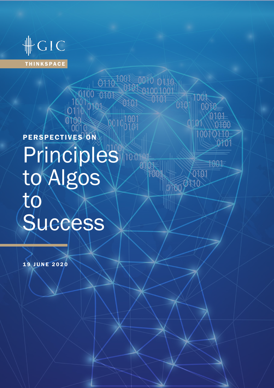

# PERSPECTIVES ON **Principles** to Algos  $t\phi^{\!\scriptscriptstyle \leftarrow}$ **Success**

01100 0100 0100 0100

 $\bigotimes_{00}^{1001}$ 

TDU1

0101 0101

1001

0101

0101

**TOOL** 

19 JUNE 2020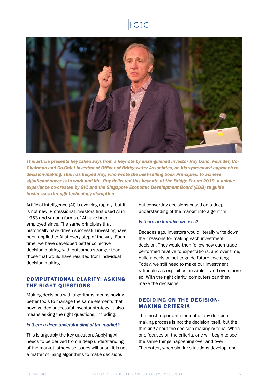# $GIC$



*This article presents key takeaways from a keynote by distinguished investor Ray Dalio, Founder, Co-Chairman and Co-Chief Investment Officer of Bridgewater Associates, on his systemised approach to decision-making. This has helped Ray, who wrote the best-selling book Principles, to achieve significant success in work and life. Ray delivered this keynote at the Bridge Forum 2019, a unique experience co-created by GIC and the Singapore Economic Development Board (EDB) to guide businesses through technology disruption.* 

Artificial Intelligence (AI) is evolving rapidly, but it is not new. Professional investors first used AI in 1953 and various forms of AI have been employed since. The same principles that historically have driven successful investing have been applied to AI at every step of the way. Each time, we have developed better collective decision-making, with outcomes stronger than those that would have resulted from individual decision-making.

## COMPUTATIONAL CLARITY: ASKING THE RIGHT QUESTIONS

Making decisions with algorithms means having better tools to manage the same elements that have guided successful investor strategy. It also means asking the right questions, including:

#### *Is there a deep understanding of the market?*

This is arguably the key question. Applying AI needs to be derived from a deep understanding of the market, otherwise issues will arise. It is not a matter of using algorithms to make decisions,

but converting decisions based on a deep understanding of the market into algorithm.

#### *Is there an iterative process?*

Decades ago, investors would literally write down their reasons for making each investment decision. They would then follow how each trade performed relative to expectations, and over time, build a decision set to guide future investing. Today, we still need to make our investment rationales as explicit as possible — and even more so. With the right clarity, computers can then make the decisions.

# DECIDING ON THE DECISION-MAKING CRITERIA

The most important element of any decisionmaking process is not the decision itself, but the thinking about the decision-making criteria. When one focuses on the criteria, one will begin to see the same things happening over and over. Thereafter, when similar situations develop, one